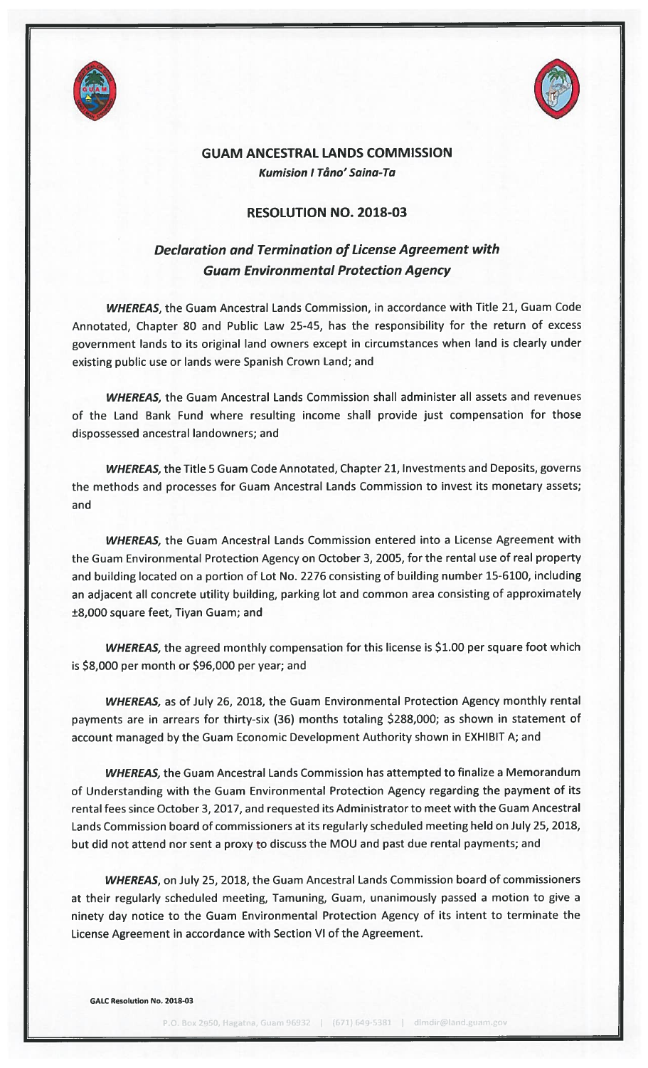



## GUAM ANCESTRAL LANDS COMMISSION Kumision <sup>I</sup> Tãno' Saina-Ta

## RESOLUTION NO. 2018-03

## Declaration and Termination of License Agreement with Guam Environmental Protection Agency

WHEREAS, the Guam Ancestral Lands Commission, in accordance with Title 21, Guam Code Annotated, Chapter 80 and Public Law 25-45, has the responsibility for the return of excess government lands to its original land owners except in circumstances when land is clearly under existing public use or lands were Spanish Crown Land; and

WHEREAS, the Guam Ancestral Lands Commission shall administer all assets and revenues of the Land Bank Fund where resulting income shall provide just compensation for those dispossessed ancestral landowners; and

WHEREAS, the Title 5 Guam Code Annotated, Chapter 21, Investments and Deposits, governs the methods and processes for Guam Ancestral Lands Commission to invest its monetary assets; and

WHEREAS, the Guam Ancestral Lands Commission entered into a License Agreement with the Guam Environmental Protection Agency on October 3, 2005, for the rental use of real property and building located on <sup>a</sup> portion of Lot No. 2276 consisting of building number 15-6100, including an adjacent all concrete utility building, parking lot and common area consisting of approximately ±8,000 square feet, Tiyan Guam; and

WHEREAS, the agreed monthly compensation for this license is \$1.00 per square foot which is \$8,000 per month or \$96,000 per year; and

WHEREAS, as of July 26, 2018, the Guam Environmental Protection Agency monthly rental payments are in arrears for thirty-six (36) months totaling \$288,000; as shown in statement of account managed by the Guam Economic Development Authority shown in EXHIBIT A; and

WHEREAS, the Guam Ancestral Lands Commission has attempted to finalize a Memorandum of Understanding with the Guam Environmental Protection Agency regarding the payment of its rental fees since October 3, 2017, and requested its Administrator to meet with the Guam Ancestral Lands Commission board of commissioners at its regularly scheduled meeting held on July 25, 2018, but did not attend nor sent <sup>a</sup> proxy to discuss the MOU and past due rental payments; and

WHEREAS, on July 25, 2018, the Guam Ancestral Lands Commission board of commissioners at their regularly scheduled meeting, Tamuning, Guam, unanimously passed a motion to give <sup>a</sup> ninety day notice to the Guam Environmental Protection Agency of its intent to terminate the License Agreement in accordance with Section VI of the Agreement.

GALC Resolution No. 2018-03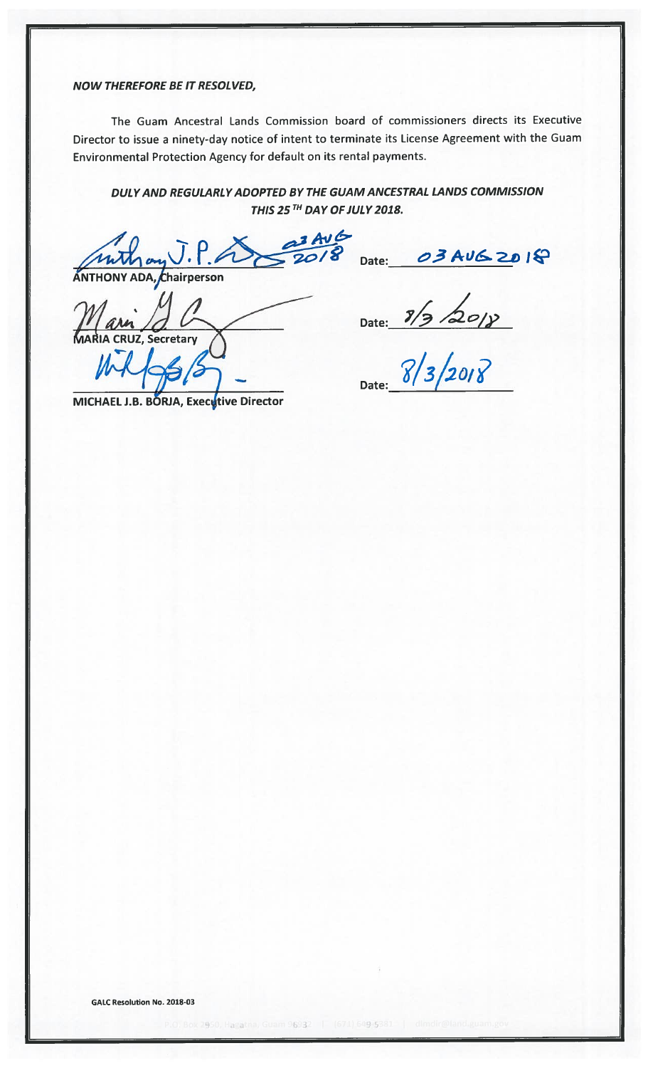NOW THEREFORE BE IT RESOLVED,

The Guam Ancestral Lands Commission board of commissioners directs its Executive Director to issue <sup>a</sup> ninety-day notice of intent to terminate its License Agreement with the Guam Environmental Protection Agency for default on its rental payments.

DULYAND REGULARLYADOPTED BY THE GUAM ANCESTRAL LANDS COMMISSION THIS 25TH DAY OF JULY 2018.

 $I.P.A 2018$  Date: 03 AUG 2018 ANTHONY ADA, Chairperson

Z, Secretar

Date:

Date: 8/3/2018

MICHAEL J.B. BORJA, Executive Director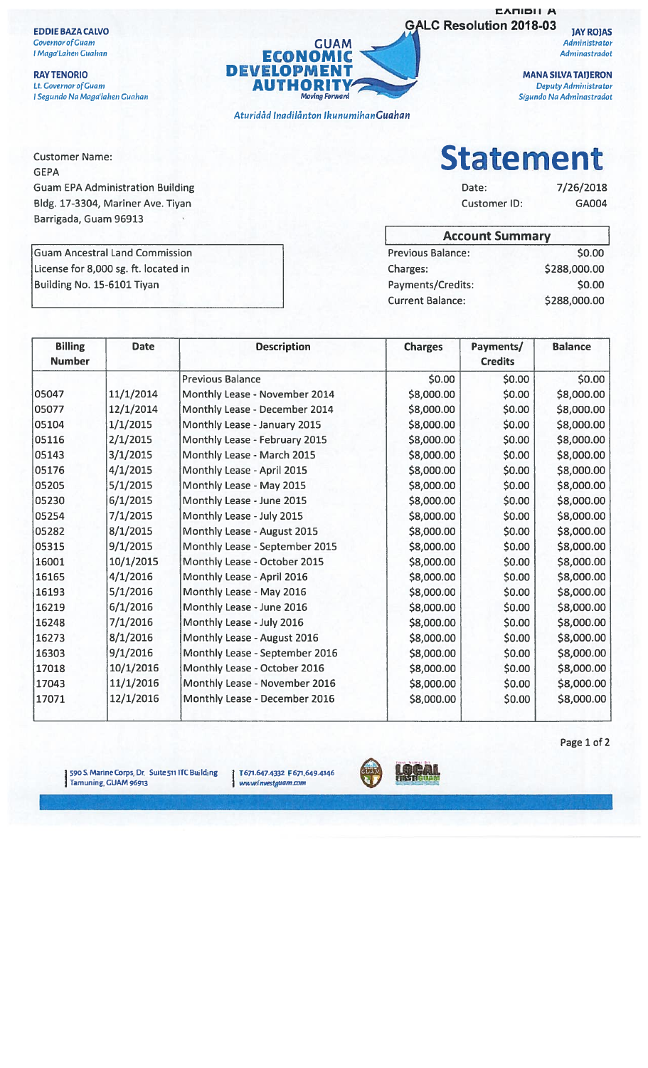**EDDIE BAZA CALVO Covernor of Guam** I Maga'Lahen Guahan

**Customer Name:** 

**GEPA** 

**RAY TENORIO** Lt. Covernor of Guam I Segundo Na Maga'lahen Guahan



Aturidåd Inadilånton Ikunumihan Guahan

**EARIBILA GALC Resolution 2018-03** 

**JAY ROJAS** Administrator Adminastradot

**MANA SILVA TAIJERON** Deputy Administrator Sigundo Na Adminastradot

**Statement** 

Date: Customer ID: 7/26/2018 GA004

| <b>Account Summary</b>  |              |  |  |  |
|-------------------------|--------------|--|--|--|
| Previous Balance:       | \$0.00       |  |  |  |
| Charges:                | \$288,000.00 |  |  |  |
| Payments/Credits:       | \$0.00       |  |  |  |
| <b>Current Balance:</b> | \$288,000.00 |  |  |  |

**Guam EPA Administration Building** Bldg. 17-3304, Mariner Ave. Tiyan Barrigada, Guam 96913

**Guam Ancestral Land Commission** License for 8,000 sg. ft. located in Building No. 15-6101 Tiyan

| <b>Billing</b><br><b>Number</b> | <b>Date</b> | <b>Description</b>             | <b>Charges</b> | Payments/<br><b>Credits</b> | <b>Balance</b> |
|---------------------------------|-------------|--------------------------------|----------------|-----------------------------|----------------|
|                                 |             | <b>Previous Balance</b>        | \$0.00         | \$0.00                      | \$0.00         |
| 05047                           | 11/1/2014   | Monthly Lease - November 2014  | \$8,000.00     | \$0.00                      | \$8,000.00     |
| 05077                           | 12/1/2014   | Monthly Lease - December 2014  | \$8,000.00     | \$0.00                      | \$8,000.00     |
| 05104                           | 1/1/2015    | Monthly Lease - January 2015   | \$8,000.00     | \$0.00                      | \$8,000.00     |
| 05116                           | 2/1/2015    | Monthly Lease - February 2015  | \$8,000.00     | \$0.00                      | \$8,000.00     |
| 05143                           | 3/1/2015    | Monthly Lease - March 2015     | \$8,000.00     | \$0.00                      | \$8,000.00     |
| 05176                           | 4/1/2015    | Monthly Lease - April 2015     | \$8,000.00     | \$0.00                      | \$8,000.00     |
| 05205                           | 5/1/2015    | Monthly Lease - May 2015       | \$8,000.00     | \$0.00                      | \$8,000.00     |
| 05230                           | 6/1/2015    | Monthly Lease - June 2015      | \$8,000.00     | \$0.00                      | \$8,000.00     |
| 05254                           | 7/1/2015    | Monthly Lease - July 2015      | \$8,000.00     | \$0.00                      | \$8,000.00     |
| 05282                           | 8/1/2015    | Monthly Lease - August 2015    | \$8,000.00     | \$0.00                      | \$8,000.00     |
| 05315                           | 9/1/2015    | Monthly Lease - September 2015 | \$8,000.00     | \$0.00                      | \$8,000.00     |
| 16001                           | 10/1/2015   | Monthly Lease - October 2015   | \$8,000.00     | \$0.00                      | \$8,000.00     |
| 16165                           | 4/1/2016    | Monthly Lease - April 2016     | \$8,000.00     | \$0.00                      | \$8,000.00     |
| 16193                           | 5/1/2016    | Monthly Lease - May 2016       | \$8,000.00     | \$0.00                      | \$8,000.00     |
| 16219                           | 6/1/2016    | Monthly Lease - June 2016      | \$8,000.00     | \$0.00                      | \$8,000.00     |
| 16248                           | 7/1/2016    | Monthly Lease - July 2016      | \$8,000.00     | \$0.00                      | \$8,000.00     |
| 16273                           | 8/1/2016    | Monthly Lease - August 2016    | \$8,000.00     | \$0.00                      | \$8,000.00     |
| 16303                           | 9/1/2016    | Monthly Lease - September 2016 | \$8,000.00     | \$0.00                      | \$8,000.00     |
| 17018                           | 10/1/2016   | Monthly Lease - October 2016   | \$8,000.00     | \$0.00                      | \$8,000.00     |
| 17043                           | 11/1/2016   | Monthly Lease - November 2016  | \$8,000.00     | \$0.00                      | \$8,000.00     |
| 17071                           | 12/1/2016   | Monthly Lease - December 2016  | \$8,000.00     | \$0.00                      | \$8,000.00     |

590 S. Marine Corps, Dr. Suite 511 ITC Building<br>Tamuning, GUAM 96913

T 671.647.4332 F 671.649.4146 www.investguam.com



Page 1 of 2